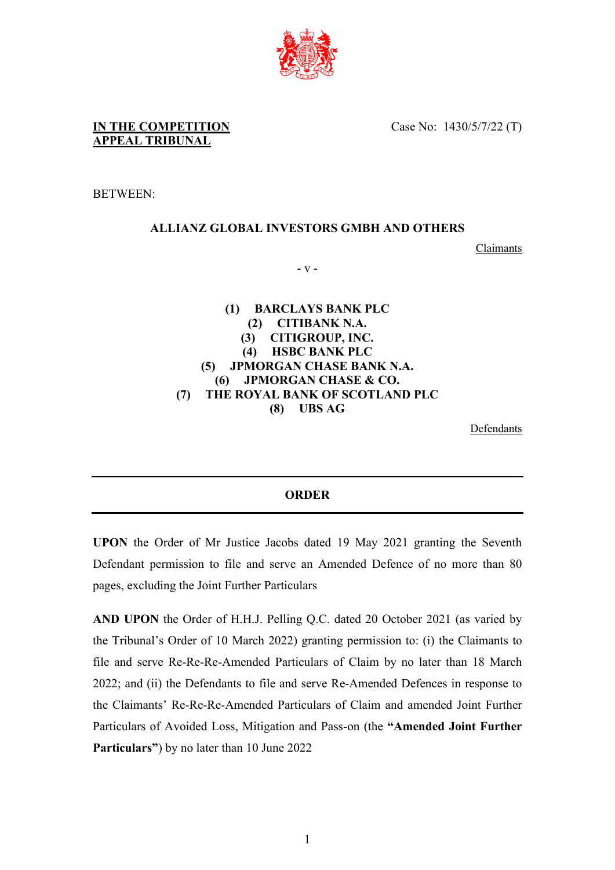

Case No: 1430/5/7/22 (T)

BETWEEN:

## **ALLIANZ GLOBAL INVESTORS GMBH AND OTHERS**

Claimants

- v -

**(1) BARCLAYS BANK PLC (2) CITIBANK N.A. (3) CITIGROUP, INC. (4) HSBC BANK PLC (5) JPMORGAN CHASE BANK N.A. (6) JPMORGAN CHASE & CO. (7) THE ROYAL BANK OF SCOTLAND PLC (8) UBS AG**

Defendants

## **ORDER**

**UPON** the Order of Mr Justice Jacobs dated 19 May 2021 granting the Seventh Defendant permission to file and serve an Amended Defence of no more than 80 pages, excluding the Joint Further Particulars

**AND UPON** the Order of H.H.J. Pelling Q.C. dated 20 October 2021 (as varied by the Tribunal's Order of 10 March 2022) granting permission to: (i) the Claimants to file and serve Re-Re-Re-Amended Particulars of Claim by no later than 18 March 2022; and (ii) the Defendants to file and serve Re-Amended Defences in response to the Claimants' Re-Re-Re-Amended Particulars of Claim and amended Joint Further Particulars of Avoided Loss, Mitigation and Pass-on (the **"Amended Joint Further Particulars"**) by no later than 10 June 2022